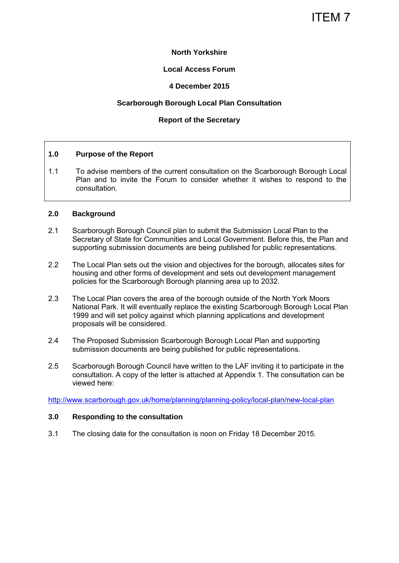# ITEM 7

## **North Yorkshire**

## **Local Access Forum**

## **4 December 2015**

## **Scarborough Borough Local Plan Consultation**

## **Report of the Secretary**

#### **1.0 Purpose of the Report**

1.1 To advise members of the current consultation on the Scarborough Borough Local Plan and to invite the Forum to consider whether it wishes to respond to the consultation.

#### **2.0 Background**

- 2.1 Scarborough Borough Council plan to submit the Submission Local Plan to the Secretary of State for Communities and Local Government. Before this, the Plan and supporting submission documents are being published for public representations.
- 2.2 The Local Plan sets out the vision and objectives for the borough, allocates sites for housing and other forms of development and sets out development management policies for the Scarborough Borough planning area up to 2032.
- 2.3 The Local Plan covers the area of the borough outside of the North York Moors National Park. It will eventually replace the existing Scarborough Borough Local Plan 1999 and will set policy against which planning applications and development proposals will be considered.
- 2.4 The Proposed Submission Scarborough Borough Local Plan and supporting submission documents are being published for public representations.
- 2.5 Scarborough Borough Council have written to the LAF inviting it to participate in the consultation. A copy of the letter is attached at Appendix 1. The consultation can be viewed here:

<http://www.scarborough.gov.uk/home/planning/planning-policy/local-plan/new-local-plan>

#### **3.0 Responding to the consultation**

3.1 The closing date for the consultation is noon on Friday 18 December 2015.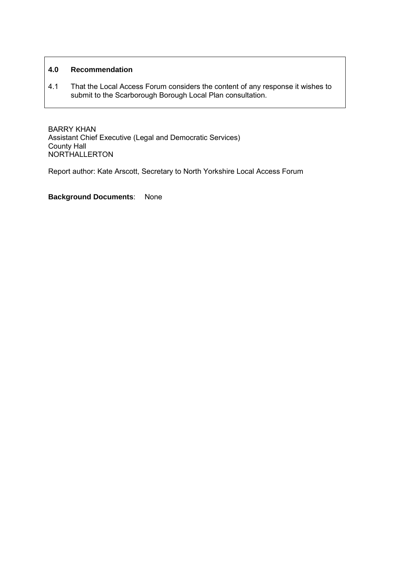# **4.0 Recommendation**

4.1 That the Local Access Forum considers the content of any response it wishes to submit to the Scarborough Borough Local Plan consultation.

BARRY KHAN Assistant Chief Executive (Legal and Democratic Services) County Hall NORTHALLERTON

Report author: Kate Arscott, Secretary to North Yorkshire Local Access Forum

**Background Documents**: None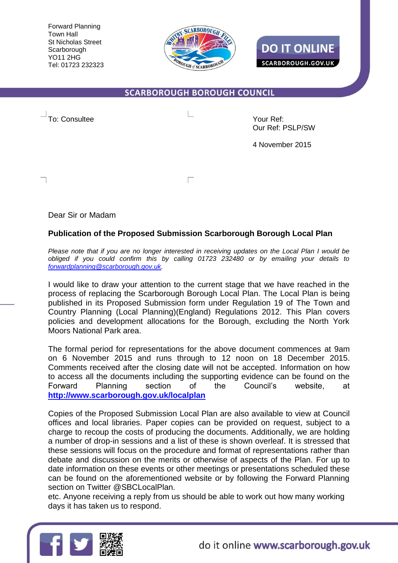Forward Planning Town Hall St Nicholas Street Scarborough YO11 2HG Tel: 01723 232323



**DO IT ONLINE SCARBOROUGH.GOV.UK** 

# **SCARBOROUGH BOROUGH COUNCIL**

To: Consultee  $\qquad \qquad \Box$ 

Our Ref: PSLP/SW

4 November 2015

Dear Sir or Madam

# **Publication of the Proposed Submission Scarborough Borough Local Plan**

 $\Gamma$ 

*Please note that if you are no longer interested in receiving updates on the Local Plan I would be obliged if you could confirm this by calling 01723 232480 or by emailing your details to [forwardplanning@scarborough.gov.uk.](mailto:forwardplanning@scarborough.gov.uk)* 

I would like to draw your attention to the current stage that we have reached in the process of replacing the Scarborough Borough Local Plan. The Local Plan is being published in its Proposed Submission form under Regulation 19 of The Town and Country Planning (Local Planning)(England) Regulations 2012. This Plan covers policies and development allocations for the Borough, excluding the North York Moors National Park area.

The formal period for representations for the above document commences at 9am on 6 November 2015 and runs through to 12 noon on 18 December 2015. Comments received after the closing date will not be accepted. Information on how to access all the documents including the supporting evidence can be found on the Forward Planning section of the Council's website, at **<http://www.scarborough.gov.uk/localplan>**

Copies of the Proposed Submission Local Plan are also available to view at Council offices and local libraries. Paper copies can be provided on request, subject to a charge to recoup the costs of producing the documents. Additionally, we are holding a number of drop-in sessions and a list of these is shown overleaf. It is stressed that these sessions will focus on the procedure and format of representations rather than debate and discussion on the merits or otherwise of aspects of the Plan. For up to date information on these events or other meetings or presentations scheduled these can be found on the aforementioned website or by following the Forward Planning section on Twitter @SBCLocalPlan.

etc. Anyone receiving a reply from us should be able to work out how many working days it has taken us to respond.

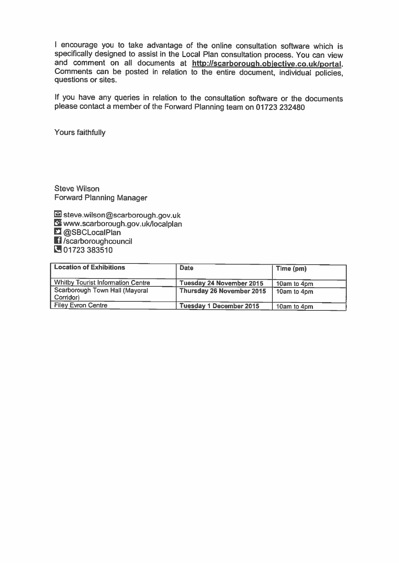I encourage you to take advantage of the online consultation software which is specifically designed to assist in the Local Plan consultation process. You can view and comment on all documents at http://scarborough.objective.co.uk/portal. Comments can be posted in relation to the entire document, individual policies. questions or sites.

If you have any queries in relation to the consultation software or the documents please contact a member of the Forward Planning team on 01723 232480

Yours faithfully

Steve Wilson **Forward Planning Manager** 

Siteve.wilson@scarborough.gov.uk www.scarborough.gov.uk/localplan **Q**SBCLocalPlan **El**/scarboroughcouncil 01723 383510

| <b>Location of Exhibitions</b>              | <b>Date</b>                    | Time (pm)   |
|---------------------------------------------|--------------------------------|-------------|
| <b>Whitby Tourist Information Centre</b>    | Tuesday 24 November 2015       | 10am to 4pm |
| Scarborough Town Hall (Mayoral<br>Corridor) | Thursday 26 November 2015      | 10am to 4pm |
| <b>Filey Evron Centre</b>                   | <b>Tuesday 1 December 2015</b> | 10am to 4pm |